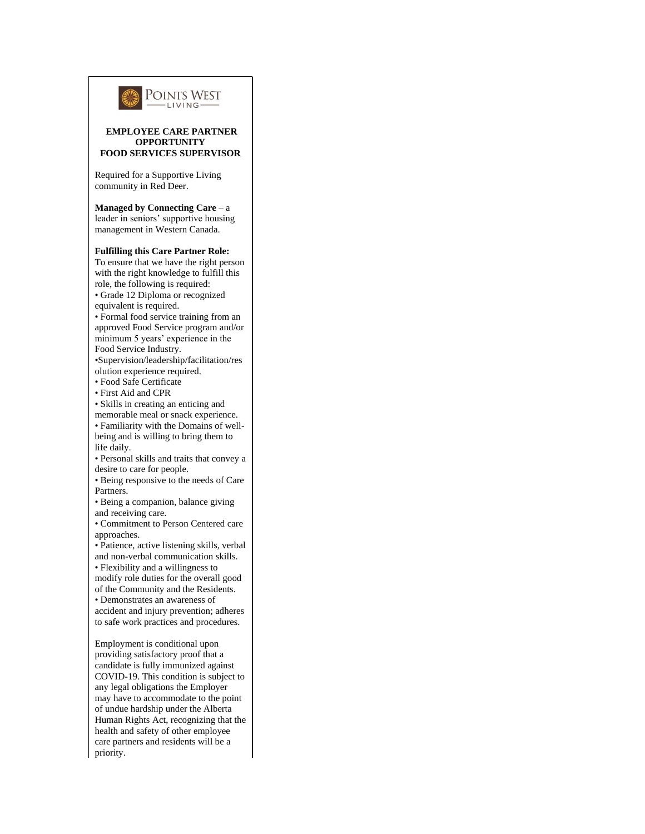

## **EMPLOYEE CARE PARTNER OPPORTUNITY FOOD SERVICES SUPERVISOR**

Required for a Supportive Living community in Red Deer.

**Managed by Connecting Care** – a leader in seniors' supportive housing management in Western Canada.

## **Fulfilling this Care Partner Role:**

To ensure that we have the right person with the right knowledge to fulfill this role, the following is required: • Grade 12 Diploma or recognized equivalent is required.

• Formal food service training from an approved Food Service program and/or minimum 5 years' experience in the Food Service Industry.

•Supervision/leadership/facilitation/res olution experience required.

• Food Safe Certificate

• First Aid and CPR

• Skills in creating an enticing and

memorable meal or snack experience. • Familiarity with the Domains of wellbeing and is willing to bring them to life daily.

• Personal skills and traits that convey a desire to care for people.

• Being responsive to the needs of Care Partners.

• Being a companion, balance giving and receiving care.

• Commitment to Person Centered care approaches.

• Patience, active listening skills, verbal and non-verbal communication skills.

• Flexibility and a willingness to modify role duties for the overall good

of the Community and the Residents.

• Demonstrates an awareness of accident and injury prevention; adheres

to safe work practices and procedures.

Employment is conditional upon providing satisfactory proof that a candidate is fully immunized against COVID-19. This condition is subject to any legal obligations the Employer may have to accommodate to the point of undue hardship under the Alberta Human Rights Act, recognizing that the health and safety of other employee care partners and residents will be a priority.